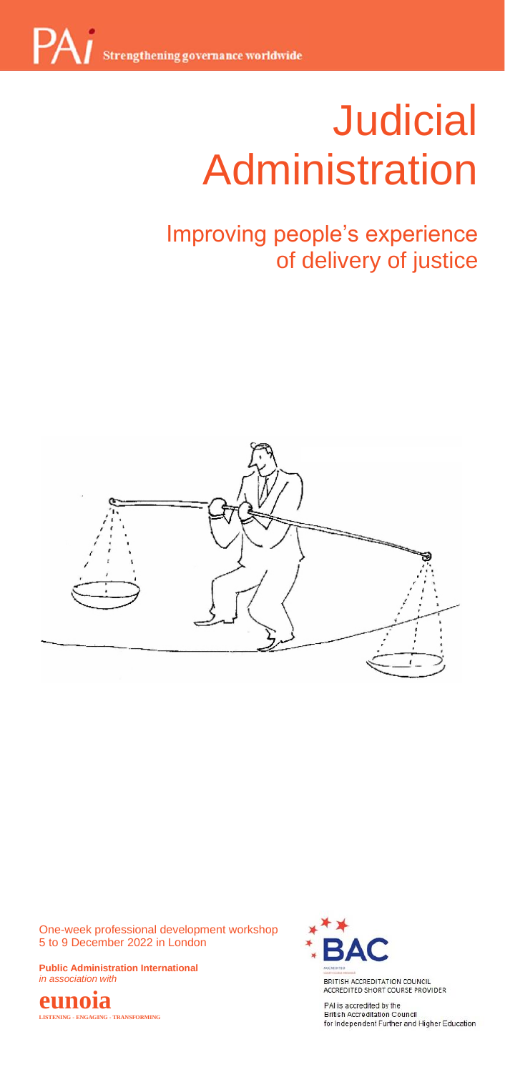# **Judicial** dminict <u>management</u> Administration

# of delivery of justice Improving people's experience



One-week professional development workshop 5 to 9 December 2022 in London

**Public Administration International**  *in association with*





BRITISH ACCREDITATION COUNCIL<br>ACCREDITED SHORT COURSE PROVIDER

PAI is accredited by the -<br>British Accreditation Council<br>for Independent Further and Higher Education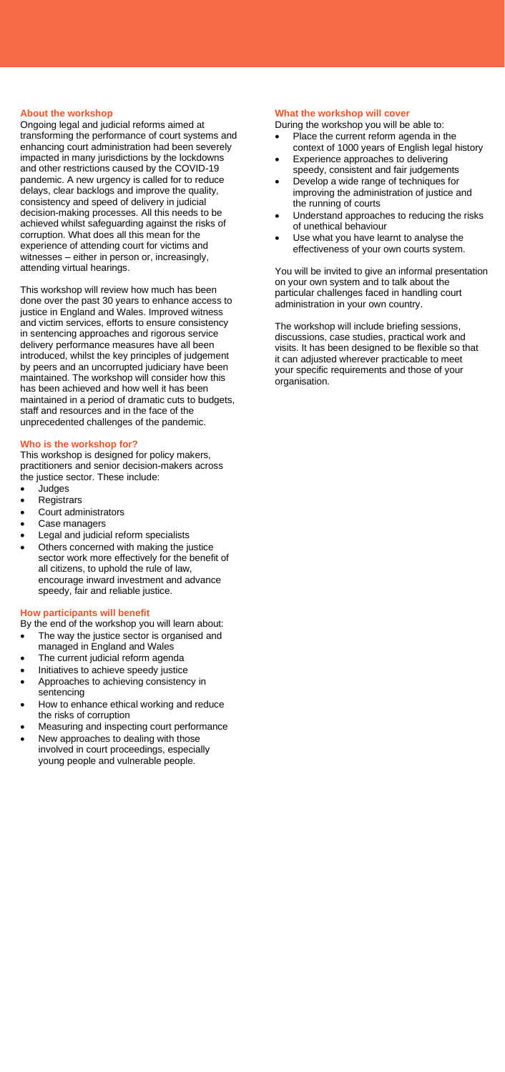# **About the workshop**

Ongoing legal and judicial reforms aimed at transforming the performance of court systems and enhancing court administration had been severely impacted in many jurisdictions by the lockdowns and other restrictions caused by the COVID-19 pandemic. A new urgency is called for to reduce delays, clear backlogs and improve the quality, consistency and speed of delivery in judicial decision-making processes. All this needs to be achieved whilst safeguarding against the risks of corruption. What does all this mean for the experience of attending court for victims and witnesses – either in person or, increasingly, attending virtual hearings.

This workshop will review how much has been done over the past 30 years to enhance access to justice in England and Wales. Improved witness and victim services, efforts to ensure consistency in sentencing approaches and rigorous service delivery performance measures have all been introduced, whilst the key principles of judgement by peers and an uncorrupted judiciary have been maintained. The workshop will consider how this has been achieved and how well it has been maintained in a period of dramatic cuts to budgets, staff and resources and in the face of the unprecedented challenges of the pandemic.

#### **Who is the workshop for?**

This workshop is designed for policy makers, practitioners and senior decision-makers across the justice sector. These include:

- Judges
- Registrars
- Court administrators
- Case managers
- Legal and judicial reform specialists
- Others concerned with making the justice sector work more effectively for the benefit of all citizens, to uphold the rule of law, encourage inward investment and advance speedy, fair and reliable justice.

#### **How participants will benefit**

By the end of the workshop you will learn about: The way the justice sector is organised and

- managed in England and Wales
- The current judicial reform agenda
- Initiatives to achieve speedy justice
- Approaches to achieving consistency in sentencing
- How to enhance ethical working and reduce the risks of corruption
- Measuring and inspecting court performance New approaches to dealing with those
- involved in court proceedings, especially young people and vulnerable people.

#### **What the workshop will cover**

During the workshop you will be able to:

- Place the current reform agenda in the context of 1000 years of English legal history
- Experience approaches to delivering speedy, consistent and fair judgements
- Develop a wide range of techniques for improving the administration of justice and the running of courts
- Understand approaches to reducing the risks of unethical behaviour
- Use what you have learnt to analyse the effectiveness of your own courts system.

You will be invited to give an informal presentation on your own system and to talk about the particular challenges faced in handling court administration in your own country.

The workshop will include briefing sessions, discussions, case studies, practical work and visits. It has been designed to be flexible so that it can adjusted wherever practicable to meet your specific requirements and those of your organisation.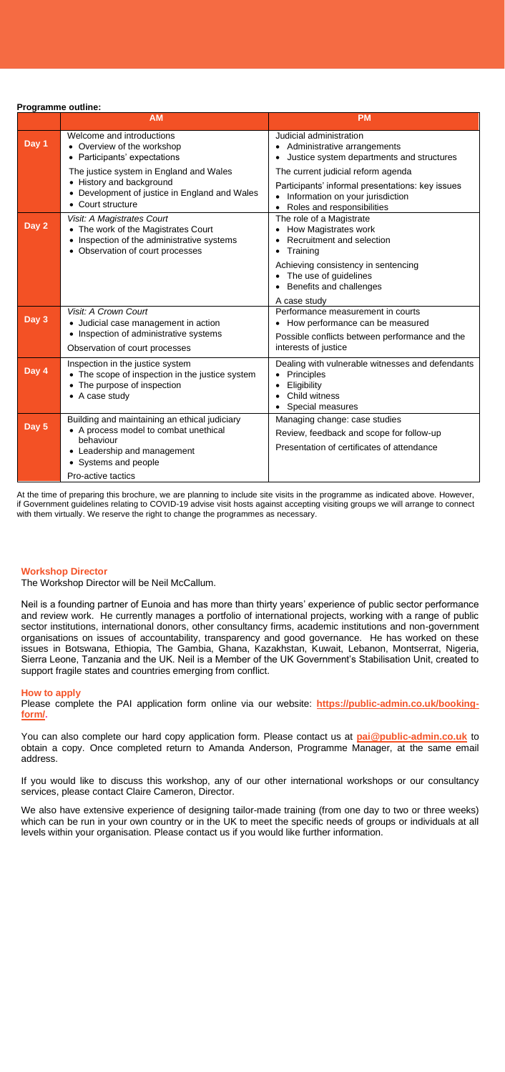**Programme outline:**

|       | <b>AM</b>                                                                                                                                                                        | <b>PM</b>                                                                                                                                                           |
|-------|----------------------------------------------------------------------------------------------------------------------------------------------------------------------------------|---------------------------------------------------------------------------------------------------------------------------------------------------------------------|
| Day 1 | Welcome and introductions<br>• Overview of the workshop<br>• Participants' expectations                                                                                          | Judicial administration<br>• Administrative arrangements<br>• Justice system departments and structures                                                             |
|       | The justice system in England and Wales<br>• History and background<br>• Development of justice in England and Wales<br>• Court structure                                        | The current judicial reform agenda<br>Participants' informal presentations: key issues<br>• Information on your jurisdiction<br>• Roles and responsibilities        |
| Day 2 | Visit: A Magistrates Court<br>• The work of the Magistrates Court<br>• Inspection of the administrative systems<br>• Observation of court processes                              | The role of a Magistrate<br>• How Magistrates work<br>Recruitment and selection<br>Training<br>٠                                                                    |
|       |                                                                                                                                                                                  | Achieving consistency in sentencing<br>• The use of quidelines<br>• Benefits and challenges                                                                         |
| Day 3 | Visit: A Crown Court<br>• Judicial case management in action<br>• Inspection of administrative systems<br>Observation of court processes                                         | A case study<br>Performance measurement in courts<br>How performance can be measured<br>٠<br>Possible conflicts between performance and the<br>interests of justice |
| Day 4 | Inspection in the justice system<br>• The scope of inspection in the justice system<br>• The purpose of inspection<br>• A case study                                             | Dealing with vulnerable witnesses and defendants<br>Principles<br>Eligibility<br>Child witness<br>Special measures                                                  |
| Day 5 | Building and maintaining an ethical judiciary<br>• A process model to combat unethical<br>behaviour<br>• Leadership and management<br>• Systems and people<br>Pro-active tactics | Managing change: case studies<br>Review, feedback and scope for follow-up<br>Presentation of certificates of attendance                                             |

At the time of preparing this brochure, we are planning to include site visits in the programme as indicated above. However,<br>if Government guidelines relating to COVID-19 advise visit hosts against accepting visiting group with them virtually. We reserve the right to change the programmes as necessary.

#### **Workshop Director**

The Workshop Director will be Neil McCallum.

Neil is a founding partner of Eunoia and has more than thirty years' experience of public sector performance and review work. He currently manages a portfolio of international projects, working with a range of public sector institutions, international donors, other consultancy firms, academic institutions and non-government organisations on issues of accountability, transparency and good governance. He has worked on these issues in Botswana, Ethiopia, The Gambia, Ghana, Kazakhstan, Kuwait, Lebanon, Montserrat, Nigeria, Sierra Leone, Tanzania and the UK. Neil is a Member of the UK Government's Stabilisation Unit, created to support fragile states and countries emerging from conflict.

#### **How to apply**

Please complete the PAI application form online via our website: **[https://public-admin.co.uk/booking](https://public-admin.co.uk/booking-form/)[form/.](https://public-admin.co.uk/booking-form/)** 

You can also complete our hard copy application form. Please contact us at **[pai@public-admin.co.uk](mailto:pai@public-admin.co.uk)** to obtain a copy. Once completed return to Amanda Anderson, Programme Manager, at the same email address.

If you would like to discuss this workshop, any of our other international workshops or our consultancy services, please contact Claire Cameron, Director.

We also have extensive experience of designing tailor-made training (from one day to two or three weeks) which can be run in your own country or in the UK to meet the specific needs of groups or individuals at all levels within your organisation. Please contact us if you would like further information.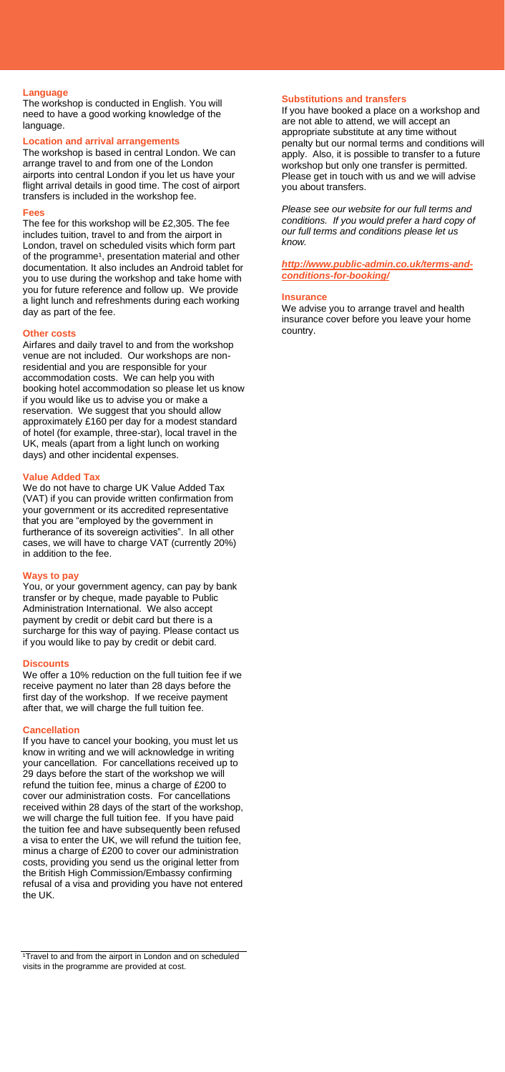# **Language**

The workshop is conducted in English. You will need to have a good working knowledge of the language.

# **Location and arrival arrangements**

The workshop is based in central London. We can arrange travel to and from one of the London airports into central London if you let us have your flight arrival details in good time. The cost of airport transfers is included in the workshop fee.

#### **Fees**

The fee for this workshop will be £2,305. The fee includes tuition, travel to and from the airport in London, travel on scheduled visits which form part of the programme<sup>1</sup>, presentation material and other documentation. It also includes an Android tablet for you to use during the workshop and take home with you for future reference and follow up. We provide a light lunch and refreshments during each working day as part of the fee.

#### **Other costs**

Airfares and daily travel to and from the workshop venue are not included. Our workshops are nonresidential and you are responsible for your accommodation costs. We can help you with booking hotel accommodation so please let us know if you would like us to advise you or make a reservation. We suggest that you should allow approximately £160 per day for a modest standard of hotel (for example, three-star), local travel in the UK, meals (apart from a light lunch on working days) and other incidental expenses.

#### **Value Added Tax**

We do not have to charge UK Value Added Tax (VAT) if you can provide written confirmation from your government or its accredited representative that you are "employed by the government in furtherance of its sovereign activities". In all other cases, we will have to charge VAT (currently 20%) in addition to the fee.

#### **Ways to pay**

You, or your government agency, can pay by bank transfer or by cheque, made payable to Public Administration International. We also accept payment by credit or debit card but there is a surcharge for this way of paying. Please contact us if you would like to pay by credit or debit card.

#### **Discounts**

We offer a 10% reduction on the full tuition fee if we receive payment no later than 28 days before the first day of the workshop. If we receive payment after that, we will charge the full tuition fee.

#### **Cancellation**

If you have to cancel your booking, you must let us know in writing and we will acknowledge in writing your cancellation. For cancellations received up to 29 days before the start of the workshop we will refund the tuition fee, minus a charge of £200 to cover our administration costs. For cancellations received within 28 days of the start of the workshop, we will charge the full tuition fee. If you have paid the tuition fee and have subsequently been refused a visa to enter the UK, we will refund the tuition fee, minus a charge of £200 to cover our administration costs, providing you send us the original letter from the British High Commission/Embassy confirming refusal of a visa and providing you have not entered the UK.

<sup>1</sup>Travel to and from the airport in London and on scheduled visits in the programme are provided at cost.

# **Substitutions and transfers**

If you have booked a place on a workshop and are not able to attend, we will accept an appropriate substitute at any time without penalty but our normal terms and conditions will apply. Also, it is possible to transfer to a future workshop but only one transfer is permitted. Please get in touch with us and we will advise you about transfers.

*Please see our website for our full terms and conditions. If you would prefer a hard copy of our full terms and conditions please let us know.*

*[http://www.public-admin.co.uk/terms-and](http://www.public-admin.co.uk/terms-and-conditions-for-booking/)[conditions-for-booking/](http://www.public-admin.co.uk/terms-and-conditions-for-booking/)*

#### **Insurance**

We advise you to arrange travel and health insurance cover before you leave your home country.